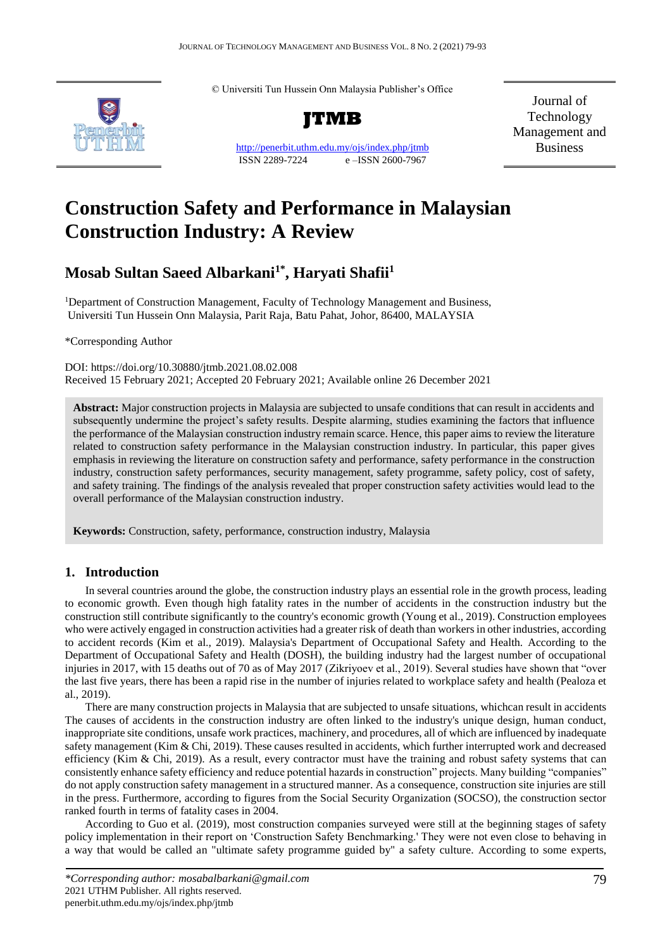© Universiti Tun Hussein Onn Malaysia Publisher's Office



<http://penerbit.uthm.edu.my/ojs/index.php/jtmb> ISSN 2289-7224 e –ISSN 2600-7967

Journal of Technology Management and Business

# **Construction Safety and Performance in Malaysian Construction Industry: A Review**

# **Mosab Sultan Saeed Albarkani1\* , Haryati Shafii<sup>1</sup>**

<sup>1</sup>Department of Construction Management, Faculty of Technology Management and Business, Universiti Tun Hussein Onn Malaysia, Parit Raja, Batu Pahat, Johor, 86400, MALAYSIA

\*Corresponding Author

DOI: https://doi.org/10.30880/jtmb.2021.08.02.008 Received 15 February 2021; Accepted 20 February 2021; Available online 26 December 2021

**Abstract:** Major construction projects in Malaysia are subjected to unsafe conditions that can result in accidents and subsequently undermine the project's safety results. Despite alarming, studies examining the factors that influence the performance of the Malaysian construction industry remain scarce. Hence, this paper aims to review the literature related to construction safety performance in the Malaysian construction industry. In particular, this paper gives emphasis in reviewing the literature on construction safety and performance, safety performance in the construction industry, construction safety performances, security management, safety programme, safety policy, cost of safety, and safety training. The findings of the analysis revealed that proper construction safety activities would lead to the overall performance of the Malaysian construction industry.

**Keywords:** Construction, safety, performance, construction industry, Malaysia

# **1. Introduction**

In several countries around the globe, the construction industry plays an essential role in the growth process, leading to economic growth. Even though high fatality rates in the number of accidents in the construction industry but the construction still contribute significantly to the country's economic growth (Young et al., 2019). Construction employees who were actively engaged in construction activities had a greater risk of death than workers in other industries, according to accident records (Kim et al., 2019). Malaysia's Department of Occupational Safety and Health. According to the Department of Occupational Safety and Health (DOSH), the building industry had the largest number of occupational injuries in 2017, with 15 deaths out of 70 as of May 2017 (Zikriyoev et al., 2019). Several studies have shown that "over the last five years, there has been a rapid rise in the number of injuries related to workplace safety and health (Pealoza et al., 2019).

There are many construction projects in Malaysia that are subjected to unsafe situations, whichcan result in accidents The causes of accidents in the construction industry are often linked to the industry's unique design, human conduct, inappropriate site conditions, unsafe work practices, machinery, and procedures, all of which are influenced by inadequate safety management (Kim & Chi, 2019). These causes resulted in accidents, which further interrupted work and decreased efficiency (Kim & Chi, 2019). As a result, every contractor must have the training and robust safety systems that can consistently enhance safety efficiency and reduce potential hazards in construction" projects. Many building "companies" do not apply construction safety management in a structured manner. As a consequence, construction site injuries are still in the press. Furthermore, according to figures from the Social Security Organization (SOCSO), the construction sector ranked fourth in terms of fatality cases in 2004.

According to Guo et al. (2019), most construction companies surveyed were still at the beginning stages of safety policy implementation in their report on 'Construction Safety Benchmarking.' They were not even close to behaving in a way that would be called an "ultimate safety programme guided by" a safety culture. According to some experts,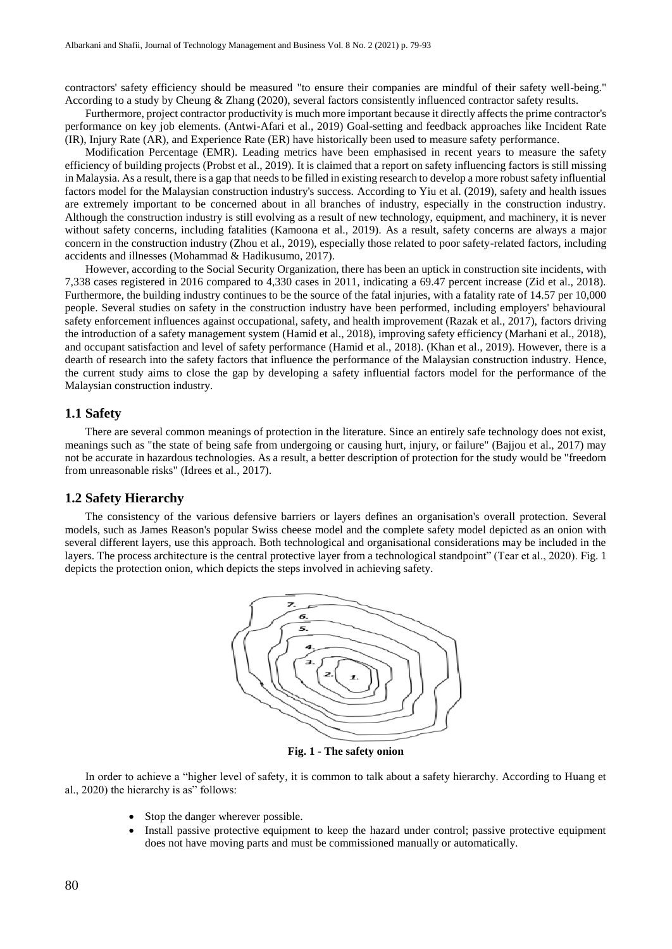contractors' safety efficiency should be measured "to ensure their companies are mindful of their safety well-being." According to a study by Cheung & Zhang (2020), several factors consistently influenced contractor safety results.

Furthermore, project contractor productivity is much more important because it directly affects the prime contractor's performance on key job elements. (Antwi-Afari et al., 2019) Goal-setting and feedback approaches like Incident Rate (IR), Injury Rate (AR), and Experience Rate (ER) have historically been used to measure safety performance.

Modification Percentage (EMR). Leading metrics have been emphasised in recent years to measure the safety efficiency of building projects (Probst et al., 2019). It is claimed that a report on safety influencing factors is still missing in Malaysia. As a result, there is a gap that needs to be filled in existing research to develop a more robust safety influential factors model for the Malaysian construction industry's success. According to Yiu et al. (2019), safety and health issues are extremely important to be concerned about in all branches of industry, especially in the construction industry. Although the construction industry is still evolving as a result of new technology, equipment, and machinery, it is never without safety concerns, including fatalities (Kamoona et al., 2019). As a result, safety concerns are always a major concern in the construction industry (Zhou et al., 2019), especially those related to poor safety-related factors, including accidents and illnesses (Mohammad & Hadikusumo, 2017).

However, according to the Social Security Organization, there has been an uptick in construction site incidents, with 7,338 cases registered in 2016 compared to 4,330 cases in 2011, indicating a 69.47 percent increase (Zid et al., 2018). Furthermore, the building industry continues to be the source of the fatal injuries, with a fatality rate of 14.57 per 10,000 people. Several studies on safety in the construction industry have been performed, including employers' behavioural safety enforcement influences against occupational, safety, and health improvement (Razak et al., 2017), factors driving the introduction of a safety management system (Hamid et al., 2018), improving safety efficiency (Marhani et al., 2018), and occupant satisfaction and level of safety performance (Hamid et al., 2018). (Khan et al., 2019). However, there is a dearth of research into the safety factors that influence the performance of the Malaysian construction industry. Hence, the current study aims to close the gap by developing a safety influential factors model for the performance of the Malaysian construction industry.

#### **1.1 Safety**

There are several common meanings of protection in the literature. Since an entirely safe technology does not exist, meanings such as "the state of being safe from undergoing or causing hurt, injury, or failure" (Bajjou et al., 2017) may not be accurate in hazardous technologies. As a result, a better description of protection for the study would be "freedom from unreasonable risks" (Idrees et al., 2017).

#### **1.2 Safety Hierarchy**

The consistency of the various defensive barriers or layers defines an organisation's overall protection. Several models, such as James Reason's popular Swiss cheese model and the complete safety model depicted as an onion with several different layers, use this approach. Both technological and organisational considerations may be included in the layers. The process architecture is the central protective layer from a technological standpoint" (Tear et al., 2020). Fig. 1 depicts the protection onion, which depicts the steps involved in achieving safety.



**Fig. 1 - The safety onion**

In order to achieve a "higher level of safety, it is common to talk about a safety hierarchy. According to Huang et al., 2020) the hierarchy is as" follows:

- Stop the danger wherever possible.
- Install passive protective equipment to keep the hazard under control; passive protective equipment does not have moving parts and must be commissioned manually or automatically.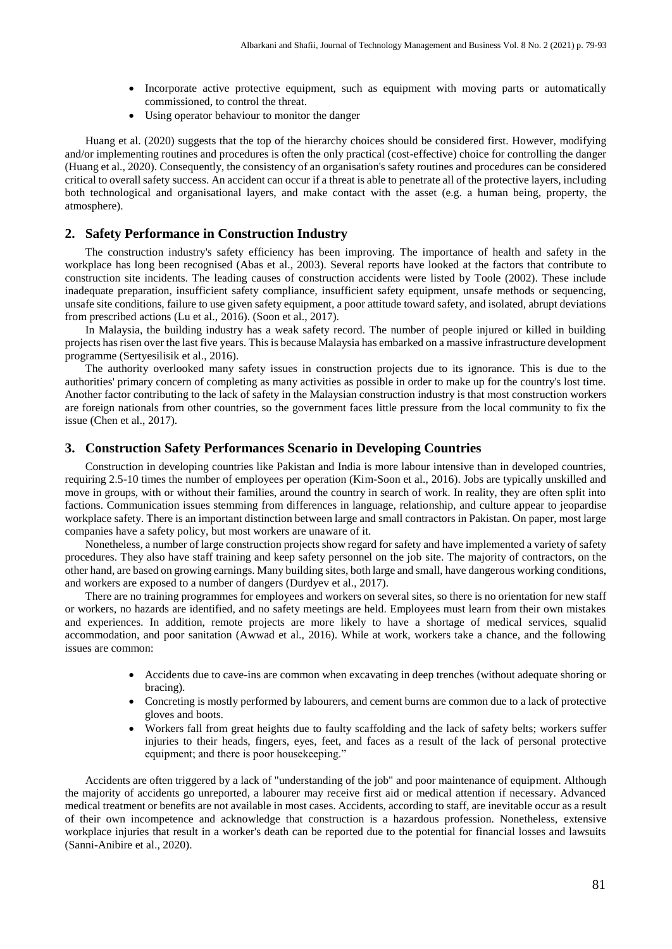- Incorporate active protective equipment, such as equipment with moving parts or automatically commissioned, to control the threat.
- Using operator behaviour to monitor the danger

Huang et al. (2020) suggests that the top of the hierarchy choices should be considered first. However, modifying and/or implementing routines and procedures is often the only practical (cost-effective) choice for controlling the danger (Huang et al., 2020). Consequently, the consistency of an organisation's safety routines and procedures can be considered critical to overall safety success. An accident can occur if a threat is able to penetrate all of the protective layers, including both technological and organisational layers, and make contact with the asset (e.g. a human being, property, the atmosphere).

#### **2. Safety Performance in Construction Industry**

The construction industry's safety efficiency has been improving. The importance of health and safety in the workplace has long been recognised (Abas et al., 2003). Several reports have looked at the factors that contribute to construction site incidents. The leading causes of construction accidents were listed by Toole (2002). These include inadequate preparation, insufficient safety compliance, insufficient safety equipment, unsafe methods or sequencing, unsafe site conditions, failure to use given safety equipment, a poor attitude toward safety, and isolated, abrupt deviations from prescribed actions (Lu et al., 2016). (Soon et al., 2017).

In Malaysia, the building industry has a weak safety record. The number of people injured or killed in building projects has risen over the last five years. This is because Malaysia has embarked on a massive infrastructure development programme (Sertyesilisik et al., 2016).

The authority overlooked many safety issues in construction projects due to its ignorance. This is due to the authorities' primary concern of completing as many activities as possible in order to make up for the country's lost time. Another factor contributing to the lack of safety in the Malaysian construction industry is that most construction workers are foreign nationals from other countries, so the government faces little pressure from the local community to fix the issue (Chen et al., 2017).

#### **3. Construction Safety Performances Scenario in Developing Countries**

Construction in developing countries like Pakistan and India is more labour intensive than in developed countries, requiring 2.5-10 times the number of employees per operation (Kim-Soon et al., 2016). Jobs are typically unskilled and move in groups, with or without their families, around the country in search of work. In reality, they are often split into factions. Communication issues stemming from differences in language, relationship, and culture appear to jeopardise workplace safety. There is an important distinction between large and small contractors in Pakistan. On paper, most large companies have a safety policy, but most workers are unaware of it.

Nonetheless, a number of large construction projects show regard for safety and have implemented a variety of safety procedures. They also have staff training and keep safety personnel on the job site. The majority of contractors, on the other hand, are based on growing earnings. Many building sites, both large and small, have dangerous working conditions, and workers are exposed to a number of dangers (Durdyev et al., 2017).

There are no training programmes for employees and workers on several sites, so there is no orientation for new staff or workers, no hazards are identified, and no safety meetings are held. Employees must learn from their own mistakes and experiences. In addition, remote projects are more likely to have a shortage of medical services, squalid accommodation, and poor sanitation (Awwad et al., 2016). While at work, workers take a chance, and the following issues are common:

- Accidents due to cave-ins are common when excavating in deep trenches (without adequate shoring or bracing).
- Concreting is mostly performed by labourers, and cement burns are common due to a lack of protective gloves and boots.
- Workers fall from great heights due to faulty scaffolding and the lack of safety belts; workers suffer injuries to their heads, fingers, eyes, feet, and faces as a result of the lack of personal protective equipment; and there is poor housekeeping."

Accidents are often triggered by a lack of "understanding of the job" and poor maintenance of equipment. Although the majority of accidents go unreported, a labourer may receive first aid or medical attention if necessary. Advanced medical treatment or benefits are not available in most cases. Accidents, according to staff, are inevitable occur as a result of their own incompetence and acknowledge that construction is a hazardous profession. Nonetheless, extensive workplace injuries that result in a worker's death can be reported due to the potential for financial losses and lawsuits (Sanni-Anibire et al., 2020).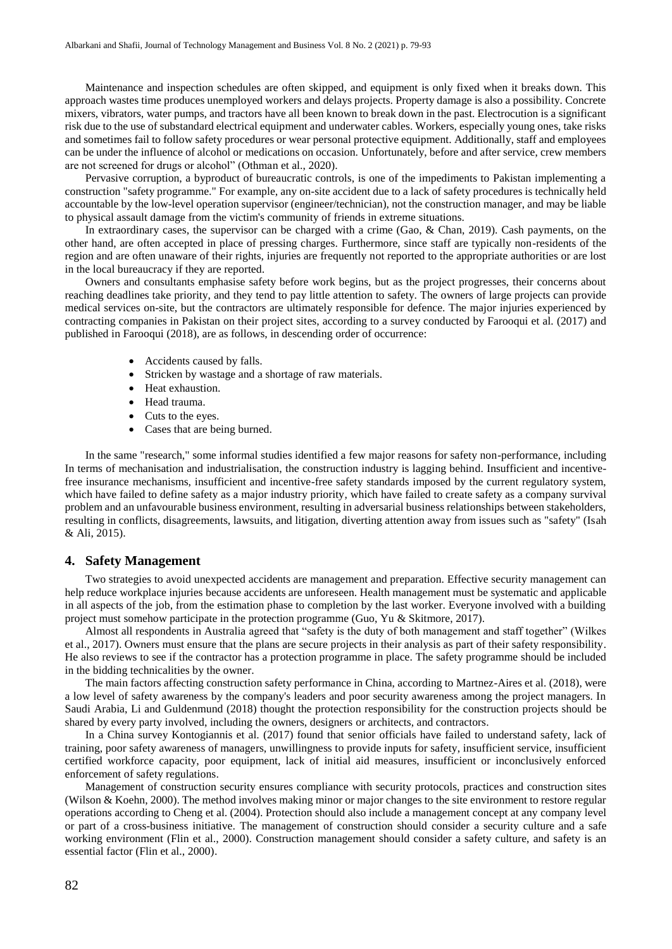Maintenance and inspection schedules are often skipped, and equipment is only fixed when it breaks down. This approach wastes time produces unemployed workers and delays projects. Property damage is also a possibility. Concrete mixers, vibrators, water pumps, and tractors have all been known to break down in the past. Electrocution is a significant risk due to the use of substandard electrical equipment and underwater cables. Workers, especially young ones, take risks and sometimes fail to follow safety procedures or wear personal protective equipment. Additionally, staff and employees can be under the influence of alcohol or medications on occasion. Unfortunately, before and after service, crew members are not screened for drugs or alcohol" (Othman et al., 2020).

Pervasive corruption, a byproduct of bureaucratic controls, is one of the impediments to Pakistan implementing a construction "safety programme." For example, any on-site accident due to a lack of safety procedures is technically held accountable by the low-level operation supervisor (engineer/technician), not the construction manager, and may be liable to physical assault damage from the victim's community of friends in extreme situations.

In extraordinary cases, the supervisor can be charged with a crime (Gao, & Chan, 2019). Cash payments, on the other hand, are often accepted in place of pressing charges. Furthermore, since staff are typically non-residents of the region and are often unaware of their rights, injuries are frequently not reported to the appropriate authorities or are lost in the local bureaucracy if they are reported.

Owners and consultants emphasise safety before work begins, but as the project progresses, their concerns about reaching deadlines take priority, and they tend to pay little attention to safety. The owners of large projects can provide medical services on-site, but the contractors are ultimately responsible for defence. The major injuries experienced by contracting companies in Pakistan on their project sites, according to a survey conducted by Farooqui et al. (2017) and published in Farooqui (2018), are as follows, in descending order of occurrence:

- Accidents caused by falls.
- Stricken by wastage and a shortage of raw materials.
- Heat exhaustion.
- Head trauma.
- Cuts to the eyes.
- Cases that are being burned.

In the same "research," some informal studies identified a few major reasons for safety non-performance, including In terms of mechanisation and industrialisation, the construction industry is lagging behind. Insufficient and incentivefree insurance mechanisms, insufficient and incentive-free safety standards imposed by the current regulatory system, which have failed to define safety as a major industry priority, which have failed to create safety as a company survival problem and an unfavourable business environment, resulting in adversarial business relationships between stakeholders, resulting in conflicts, disagreements, lawsuits, and litigation, diverting attention away from issues such as "safety" (Isah & Ali, 2015).

## **4. Safety Management**

Two strategies to avoid unexpected accidents are management and preparation. Effective security management can help reduce workplace injuries because accidents are unforeseen. Health management must be systematic and applicable in all aspects of the job, from the estimation phase to completion by the last worker. Everyone involved with a building project must somehow participate in the protection programme (Guo, Yu & Skitmore, 2017).

Almost all respondents in Australia agreed that "safety is the duty of both management and staff together" (Wilkes et al., 2017). Owners must ensure that the plans are secure projects in their analysis as part of their safety responsibility. He also reviews to see if the contractor has a protection programme in place. The safety programme should be included in the bidding technicalities by the owner.

The main factors affecting construction safety performance in China, according to Martnez-Aires et al. (2018), were a low level of safety awareness by the company's leaders and poor security awareness among the project managers. In Saudi Arabia, Li and Guldenmund (2018) thought the protection responsibility for the construction projects should be shared by every party involved, including the owners, designers or architects, and contractors.

In a China survey Kontogiannis et al. (2017) found that senior officials have failed to understand safety, lack of training, poor safety awareness of managers, unwillingness to provide inputs for safety, insufficient service, insufficient certified workforce capacity, poor equipment, lack of initial aid measures, insufficient or inconclusively enforced enforcement of safety regulations.

Management of construction security ensures compliance with security protocols, practices and construction sites (Wilson & Koehn, 2000). The method involves making minor or major changes to the site environment to restore regular operations according to Cheng et al. (2004). Protection should also include a management concept at any company level or part of a cross-business initiative. The management of construction should consider a security culture and a safe working environment (Flin et al., 2000). Construction management should consider a safety culture, and safety is an essential factor (Flin et al., 2000).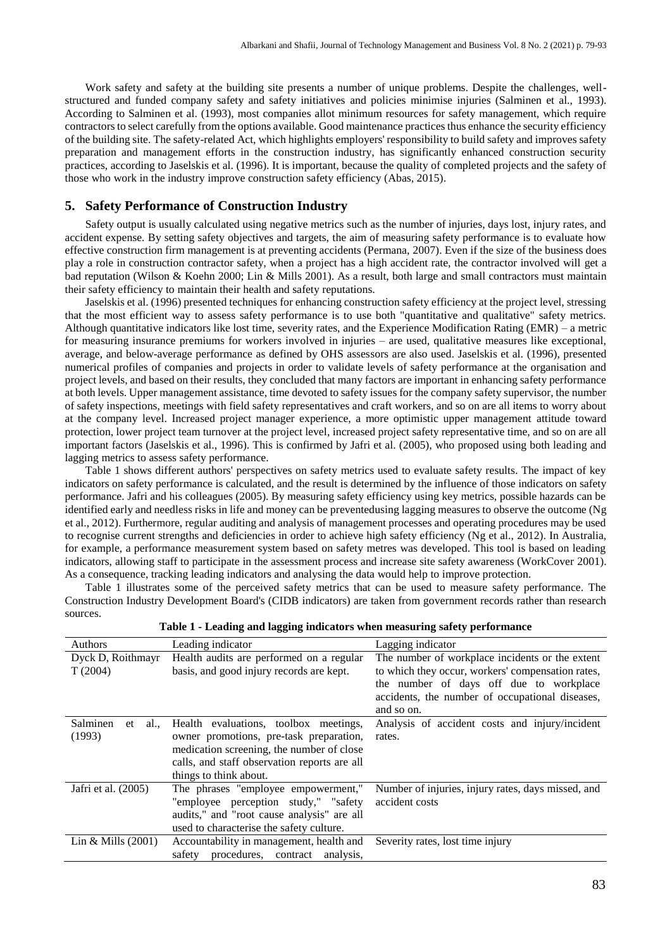Work safety and safety at the building site presents a number of unique problems. Despite the challenges, wellstructured and funded company safety and safety initiatives and policies minimise injuries (Salminen et al., 1993). According to Salminen et al. (1993), most companies allot minimum resources for safety management, which require contractors to select carefully from the options available. Good maintenance practices thus enhance the security efficiency of the building site. The safety-related Act, which highlights employers' responsibility to build safety and improves safety preparation and management efforts in the construction industry, has significantly enhanced construction security practices, according to Jaselskis et al. (1996). It is important, because the quality of completed projects and the safety of those who work in the industry improve construction safety efficiency (Abas, 2015).

# **5. Safety Performance of Construction Industry**

Safety output is usually calculated using negative metrics such as the number of injuries, days lost, injury rates, and accident expense. By setting safety objectives and targets, the aim of measuring safety performance is to evaluate how effective construction firm management is at preventing accidents (Permana, 2007). Even if the size of the business does play a role in construction contractor safety, when a project has a high accident rate, the contractor involved will get a bad reputation (Wilson & Koehn 2000; Lin & Mills 2001). As a result, both large and small contractors must maintain their safety efficiency to maintain their health and safety reputations.

Jaselskis et al. (1996) presented techniques for enhancing construction safety efficiency at the project level, stressing that the most efficient way to assess safety performance is to use both "quantitative and qualitative" safety metrics. Although quantitative indicators like lost time, severity rates, and the Experience Modification Rating (EMR) – a metric for measuring insurance premiums for workers involved in injuries – are used, qualitative measures like exceptional, average, and below-average performance as defined by OHS assessors are also used. Jaselskis et al. (1996), presented numerical profiles of companies and projects in order to validate levels of safety performance at the organisation and project levels, and based on their results, they concluded that many factors are important in enhancing safety performance at both levels. Upper management assistance, time devoted to safety issues for the company safety supervisor, the number of safety inspections, meetings with field safety representatives and craft workers, and so on are all items to worry about at the company level. Increased project manager experience, a more optimistic upper management attitude toward protection, lower project team turnover at the project level, increased project safety representative time, and so on are all important factors (Jaselskis et al., 1996). This is confirmed by Jafri et al. (2005), who proposed using both leading and lagging metrics to assess safety performance.

Table 1 shows different authors' perspectives on safety metrics used to evaluate safety results. The impact of key indicators on safety performance is calculated, and the result is determined by the influence of those indicators on safety performance. Jafri and his colleagues (2005). By measuring safety efficiency using key metrics, possible hazards can be identified early and needless risks in life and money can be preventedusing lagging measures to observe the outcome (Ng et al., 2012). Furthermore, regular auditing and analysis of management processes and operating procedures may be used to recognise current strengths and deficiencies in order to achieve high safety efficiency (Ng et al., 2012). In Australia, for example, a performance measurement system based on safety metres was developed. This tool is based on leading indicators, allowing staff to participate in the assessment process and increase site safety awareness (WorkCover 2001). As a consequence, tracking leading indicators and analysing the data would help to improve protection.

Table 1 illustrates some of the perceived safety metrics that can be used to measure safety performance. The Construction Industry Development Board's (CIDB indicators) are taken from government records rather than research sources.

| Table 1 - Leading and lagging multators when measuring safety performance |                                                |                                                    |
|---------------------------------------------------------------------------|------------------------------------------------|----------------------------------------------------|
| Authors                                                                   | Leading indicator                              | Lagging indicator                                  |
| Dyck D, Roithmayr                                                         | Health audits are performed on a regular       | The number of workplace incidents or the extent    |
| T(2004)                                                                   | basis, and good injury records are kept.       | to which they occur, workers' compensation rates,  |
|                                                                           |                                                | the number of days off due to workplace            |
|                                                                           |                                                | accidents, the number of occupational diseases,    |
|                                                                           |                                                | and so on.                                         |
| Salminen<br>al.,<br>et                                                    | Health evaluations, toolbox meetings,          | Analysis of accident costs and injury/incident     |
| (1993)                                                                    | owner promotions, pre-task preparation,        | rates.                                             |
|                                                                           | medication screening, the number of close      |                                                    |
|                                                                           | calls, and staff observation reports are all   |                                                    |
|                                                                           | things to think about.                         |                                                    |
| Jafri et al. (2005)                                                       | The phrases "employee empowerment,"            | Number of injuries, injury rates, days missed, and |
|                                                                           | "employee perception study," "safety"          | accident costs                                     |
|                                                                           | audits," and "root cause analysis" are all     |                                                    |
|                                                                           | used to characterise the safety culture.       |                                                    |
| Lin & Mills $(2001)$                                                      | Accountability in management, health and       | Severity rates, lost time injury                   |
|                                                                           | procedures.<br>analysis.<br>safety<br>contract |                                                    |

**Table 1 - Leading and lagging indicators when measuring safety performance**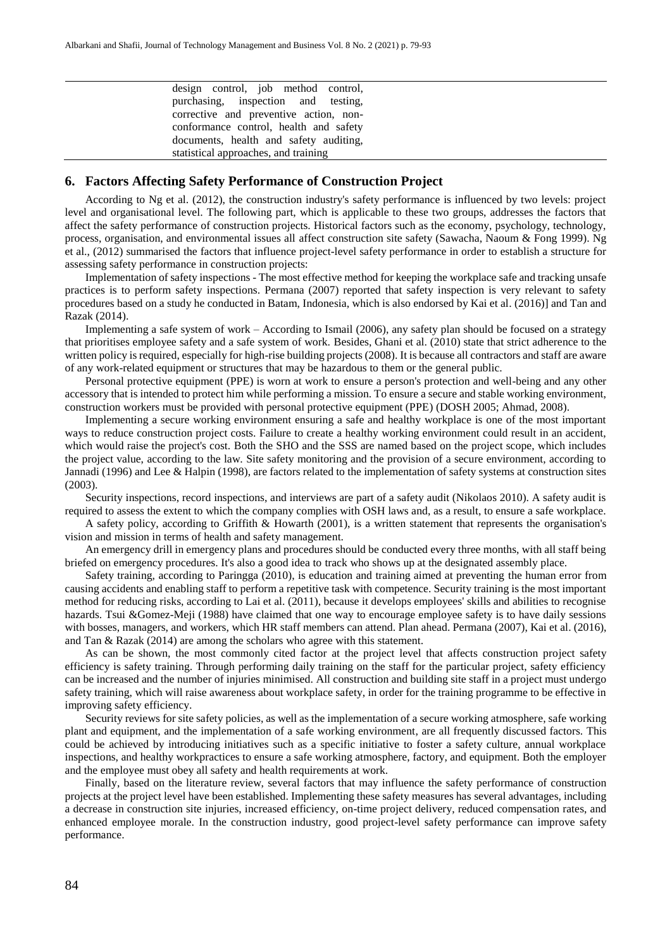design control, job method control, purchasing, inspection and testing, corrective and preventive action, nonconformance control, health and safety documents, health and safety auditing, statistical approaches, and training

# **6. Factors Affecting Safety Performance of Construction Project**

According to Ng et al. (2012), the construction industry's safety performance is influenced by two levels: project level and organisational level. The following part, which is applicable to these two groups, addresses the factors that affect the safety performance of construction projects. Historical factors such as the economy, psychology, technology, process, organisation, and environmental issues all affect construction site safety (Sawacha, Naoum & Fong 1999). Ng et al., (2012) summarised the factors that influence project-level safety performance in order to establish a structure for assessing safety performance in construction projects:

Implementation of safety inspections - The most effective method for keeping the workplace safe and tracking unsafe practices is to perform safety inspections. Permana (2007) reported that safety inspection is very relevant to safety procedures based on a study he conducted in Batam, Indonesia, which is also endorsed by Kai et al. (2016)] and Tan and Razak (2014).

Implementing a safe system of work – According to Ismail (2006), any safety plan should be focused on a strategy that prioritises employee safety and a safe system of work. Besides, Ghani et al. (2010) state that strict adherence to the written policy is required, especially for high-rise building projects (2008). It is because all contractors and staff are aware of any work-related equipment or structures that may be hazardous to them or the general public.

Personal protective equipment (PPE) is worn at work to ensure a person's protection and well-being and any other accessory that is intended to protect him while performing a mission. To ensure a secure and stable working environment, construction workers must be provided with personal protective equipment (PPE) (DOSH 2005; Ahmad, 2008).

Implementing a secure working environment ensuring a safe and healthy workplace is one of the most important ways to reduce construction project costs. Failure to create a healthy working environment could result in an accident, which would raise the project's cost. Both the SHO and the SSS are named based on the project scope, which includes the project value, according to the law. Site safety monitoring and the provision of a secure environment, according to Jannadi (1996) and Lee & Halpin (1998), are factors related to the implementation of safety systems at construction sites (2003).

Security inspections, record inspections, and interviews are part of a safety audit (Nikolaos 2010). A safety audit is required to assess the extent to which the company complies with OSH laws and, as a result, to ensure a safe workplace.

A safety policy, according to Griffith & Howarth (2001), is a written statement that represents the organisation's vision and mission in terms of health and safety management.

An emergency drill in emergency plans and procedures should be conducted every three months, with all staff being briefed on emergency procedures. It's also a good idea to track who shows up at the designated assembly place.

Safety training, according to Paringga (2010), is education and training aimed at preventing the human error from causing accidents and enabling staff to perform a repetitive task with competence. Security training is the most important method for reducing risks, according to Lai et al. (2011), because it develops employees' skills and abilities to recognise hazards. Tsui &Gomez-Meji (1988) have claimed that one way to encourage employee safety is to have daily sessions with bosses, managers, and workers, which HR staff members can attend. Plan ahead. Permana (2007), Kai et al. (2016), and Tan & Razak (2014) are among the scholars who agree with this statement.

As can be shown, the most commonly cited factor at the project level that affects construction project safety efficiency is safety training. Through performing daily training on the staff for the particular project, safety efficiency can be increased and the number of injuries minimised. All construction and building site staff in a project must undergo safety training, which will raise awareness about workplace safety, in order for the training programme to be effective in improving safety efficiency.

Security reviews for site safety policies, as well as the implementation of a secure working atmosphere, safe working plant and equipment, and the implementation of a safe working environment, are all frequently discussed factors. This could be achieved by introducing initiatives such as a specific initiative to foster a safety culture, annual workplace inspections, and healthy workpractices to ensure a safe working atmosphere, factory, and equipment. Both the employer and the employee must obey all safety and health requirements at work.

Finally, based on the literature review, several factors that may influence the safety performance of construction projects at the project level have been established. Implementing these safety measures has several advantages, including a decrease in construction site injuries, increased efficiency, on-time project delivery, reduced compensation rates, and enhanced employee morale. In the construction industry, good project-level safety performance can improve safety performance.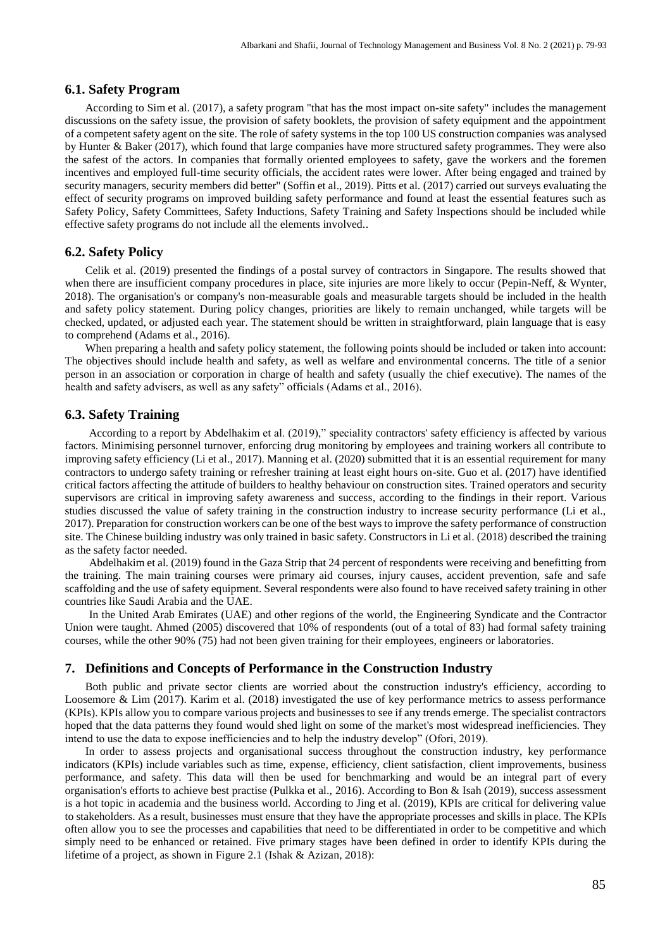## **6.1. Safety Program**

According to Sim et al. (2017), a safety program "that has the most impact on-site safety" includes the management discussions on the safety issue, the provision of safety booklets, the provision of safety equipment and the appointment of a competent safety agent on the site. The role of safety systems in the top 100 US construction companies was analysed by Hunter & Baker (2017), which found that large companies have more structured safety programmes. They were also the safest of the actors. In companies that formally oriented employees to safety, gave the workers and the foremen incentives and employed full-time security officials, the accident rates were lower. After being engaged and trained by security managers, security members did better" (Soffin et al., 2019). Pitts et al. (2017) carried out surveys evaluating the effect of security programs on improved building safety performance and found at least the essential features such as Safety Policy, Safety Committees, Safety Inductions, Safety Training and Safety Inspections should be included while effective safety programs do not include all the elements involved..

# **6.2. Safety Policy**

Celik et al. (2019) presented the findings of a postal survey of contractors in Singapore. The results showed that when there are insufficient company procedures in place, site injuries are more likely to occur (Pepin-Neff, & Wynter, 2018). The organisation's or company's non-measurable goals and measurable targets should be included in the health and safety policy statement. During policy changes, priorities are likely to remain unchanged, while targets will be checked, updated, or adjusted each year. The statement should be written in straightforward, plain language that is easy to comprehend (Adams et al., 2016).

When preparing a health and safety policy statement, the following points should be included or taken into account: The objectives should include health and safety, as well as welfare and environmental concerns. The title of a senior person in an association or corporation in charge of health and safety (usually the chief executive). The names of the health and safety advisers, as well as any safety" officials (Adams et al., 2016).

# **6.3. Safety Training**

According to a report by Abdelhakim et al. (2019)," speciality contractors' safety efficiency is affected by various factors. Minimising personnel turnover, enforcing drug monitoring by employees and training workers all contribute to improving safety efficiency (Li et al., 2017). Manning et al. (2020) submitted that it is an essential requirement for many contractors to undergo safety training or refresher training at least eight hours on-site. Guo et al. (2017) have identified critical factors affecting the attitude of builders to healthy behaviour on construction sites. Trained operators and security supervisors are critical in improving safety awareness and success, according to the findings in their report. Various studies discussed the value of safety training in the construction industry to increase security performance (Li et al., 2017). Preparation for construction workers can be one of the best ways to improve the safety performance of construction site. The Chinese building industry was only trained in basic safety. Constructors in Li et al. (2018) described the training as the safety factor needed.

Abdelhakim et al. (2019) found in the Gaza Strip that 24 percent of respondents were receiving and benefitting from the training. The main training courses were primary aid courses, injury causes, accident prevention, safe and safe scaffolding and the use of safety equipment. Several respondents were also found to have received safety training in other countries like Saudi Arabia and the UAE.

In the United Arab Emirates (UAE) and other regions of the world, the Engineering Syndicate and the Contractor Union were taught. Ahmed (2005) discovered that 10% of respondents (out of a total of 83) had formal safety training courses, while the other 90% (75) had not been given training for their employees, engineers or laboratories.

#### **7. Definitions and Concepts of Performance in the Construction Industry**

Both public and private sector clients are worried about the construction industry's efficiency, according to Loosemore & Lim (2017). Karim et al. (2018) investigated the use of key performance metrics to assess performance (KPIs). KPIs allow you to compare various projects and businesses to see if any trends emerge. The specialist contractors hoped that the data patterns they found would shed light on some of the market's most widespread inefficiencies. They intend to use the data to expose inefficiencies and to help the industry develop" (Ofori, 2019).

In order to assess projects and organisational success throughout the construction industry, key performance indicators (KPIs) include variables such as time, expense, efficiency, client satisfaction, client improvements, business performance, and safety. This data will then be used for benchmarking and would be an integral part of every organisation's efforts to achieve best practise (Pulkka et al., 2016). According to Bon & Isah (2019), success assessment is a hot topic in academia and the business world. According to Jing et al. (2019), KPIs are critical for delivering value to stakeholders. As a result, businesses must ensure that they have the appropriate processes and skills in place. The KPIs often allow you to see the processes and capabilities that need to be differentiated in order to be competitive and which simply need to be enhanced or retained. Five primary stages have been defined in order to identify KPIs during the lifetime of a project, as shown in Figure 2.1 (Ishak & Azizan, 2018):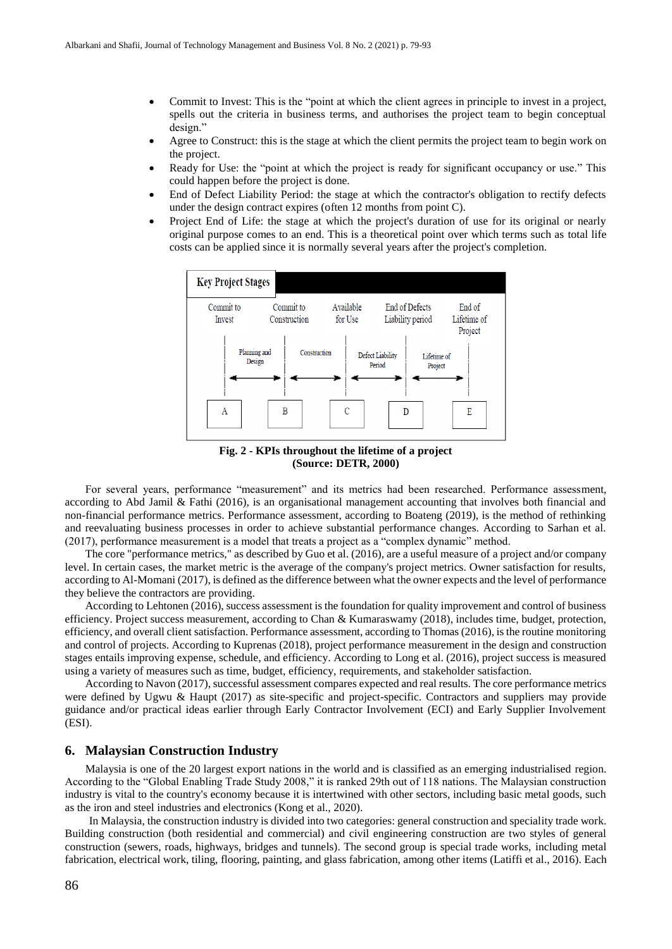- Commit to Invest: This is the "point at which the client agrees in principle to invest in a project, spells out the criteria in business terms, and authorises the project team to begin conceptual design."
- Agree to Construct: this is the stage at which the client permits the project team to begin work on the project.
- Ready for Use: the "point at which the project is ready for significant occupancy or use." This could happen before the project is done.
- End of Defect Liability Period: the stage at which the contractor's obligation to rectify defects under the design contract expires (often 12 months from point C).
- Project End of Life: the stage at which the project's duration of use for its original or nearly original purpose comes to an end. This is a theoretical point over which terms such as total life costs can be applied since it is normally several years after the project's completion.



**Fig. 2 - KPIs throughout the lifetime of a project (Source: DETR, 2000)**

For several years, performance "measurement" and its metrics had been researched. Performance assessment, according to Abd Jamil & Fathi (2016), is an organisational management accounting that involves both financial and non-financial performance metrics. Performance assessment, according to Boateng (2019), is the method of rethinking and reevaluating business processes in order to achieve substantial performance changes. According to Sarhan et al. (2017), performance measurement is a model that treats a project as a "complex dynamic" method.

The core "performance metrics," as described by Guo et al. (2016), are a useful measure of a project and/or company level. In certain cases, the market metric is the average of the company's project metrics. Owner satisfaction for results, according to Al-Momani (2017), is defined as the difference between what the owner expects and the level of performance they believe the contractors are providing.

According to Lehtonen (2016), success assessment is the foundation for quality improvement and control of business efficiency. Project success measurement, according to Chan & Kumaraswamy (2018), includes time, budget, protection, efficiency, and overall client satisfaction. Performance assessment, according to Thomas (2016), is the routine monitoring and control of projects. According to Kuprenas (2018), project performance measurement in the design and construction stages entails improving expense, schedule, and efficiency. According to Long et al. (2016), project success is measured using a variety of measures such as time, budget, efficiency, requirements, and stakeholder satisfaction.

According to Navon (2017), successful assessment compares expected and real results. The core performance metrics were defined by Ugwu & Haupt (2017) as site-specific and project-specific. Contractors and suppliers may provide guidance and/or practical ideas earlier through Early Contractor Involvement (ECI) and Early Supplier Involvement (ESI).

#### **6. Malaysian Construction Industry**

Malaysia is one of the 20 largest export nations in the world and is classified as an emerging industrialised region. According to the "Global Enabling Trade Study 2008," it is ranked 29th out of 118 nations. The Malaysian construction industry is vital to the country's economy because it is intertwined with other sectors, including basic metal goods, such as the iron and steel industries and electronics (Kong et al., 2020).

In Malaysia, the construction industry is divided into two categories: general construction and speciality trade work. Building construction (both residential and commercial) and civil engineering construction are two styles of general construction (sewers, roads, highways, bridges and tunnels). The second group is special trade works, including metal fabrication, electrical work, tiling, flooring, painting, and glass fabrication, among other items (Latiffi et al., 2016). Each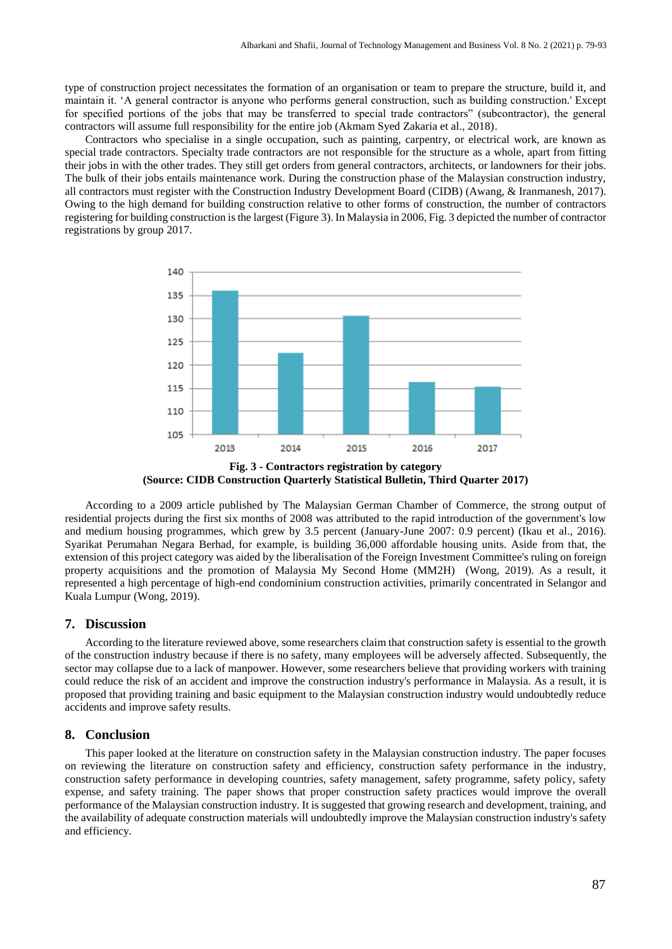type of construction project necessitates the formation of an organisation or team to prepare the structure, build it, and maintain it. 'A general contractor is anyone who performs general construction, such as building construction.' Except for specified portions of the jobs that may be transferred to special trade contractors" (subcontractor), the general contractors will assume full responsibility for the entire job (Akmam Syed Zakaria et al., 2018).

Contractors who specialise in a single occupation, such as painting, carpentry, or electrical work, are known as special trade contractors. Specialty trade contractors are not responsible for the structure as a whole, apart from fitting their jobs in with the other trades. They still get orders from general contractors, architects, or landowners for their jobs. The bulk of their jobs entails maintenance work. During the construction phase of the Malaysian construction industry, all contractors must register with the Construction Industry Development Board (CIDB) (Awang, & Iranmanesh, 2017). Owing to the high demand for building construction relative to other forms of construction, the number of contractors registering for building construction is the largest (Figure 3). In Malaysia in 2006, Fig. 3 depicted the number of contractor registrations by group 2017.



**Fig. 3 - Contractors registration by category (Source: CIDB Construction Quarterly Statistical Bulletin, Third Quarter 2017)**

According to a 2009 article published by The Malaysian German Chamber of Commerce, the strong output of residential projects during the first six months of 2008 was attributed to the rapid introduction of the government's low and medium housing programmes, which grew by 3.5 percent (January-June 2007: 0.9 percent) (Ikau et al., 2016). Syarikat Perumahan Negara Berhad, for example, is building 36,000 affordable housing units. Aside from that, the extension of this project category was aided by the liberalisation of the Foreign Investment Committee's ruling on foreign property acquisitions and the promotion of Malaysia My Second Home (MM2H) (Wong, 2019). As a result, it represented a high percentage of high-end condominium construction activities, primarily concentrated in Selangor and Kuala Lumpur (Wong, 2019).

# **7. Discussion**

According to the literature reviewed above, some researchers claim that construction safety is essential to the growth of the construction industry because if there is no safety, many employees will be adversely affected. Subsequently, the sector may collapse due to a lack of manpower. However, some researchers believe that providing workers with training could reduce the risk of an accident and improve the construction industry's performance in Malaysia. As a result, it is proposed that providing training and basic equipment to the Malaysian construction industry would undoubtedly reduce accidents and improve safety results.

#### **8. Conclusion**

This paper looked at the literature on construction safety in the Malaysian construction industry. The paper focuses on reviewing the literature on construction safety and efficiency, construction safety performance in the industry, construction safety performance in developing countries, safety management, safety programme, safety policy, safety expense, and safety training. The paper shows that proper construction safety practices would improve the overall performance of the Malaysian construction industry. It is suggested that growing research and development, training, and the availability of adequate construction materials will undoubtedly improve the Malaysian construction industry's safety and efficiency.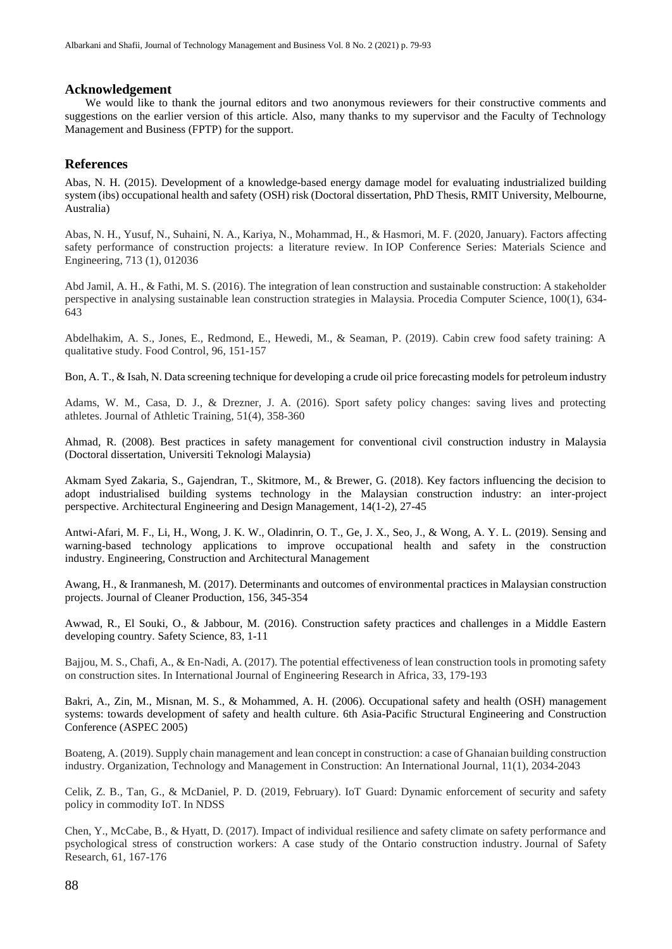#### **Acknowledgement**

We would like to thank the journal editors and two anonymous reviewers for their constructive comments and suggestions on the earlier version of this article. Also, many thanks to my supervisor and the Faculty of Technology Management and Business (FPTP) for the support.

# **References**

Abas, N. H. (2015). Development of a knowledge-based energy damage model for evaluating industrialized building system (ibs) occupational health and safety (OSH) risk (Doctoral dissertation, PhD Thesis, RMIT University, Melbourne, Australia)

Abas, N. H., Yusuf, N., Suhaini, N. A., Kariya, N., Mohammad, H., & Hasmori, M. F. (2020, January). Factors affecting safety performance of construction projects: a literature review. In IOP Conference Series: Materials Science and Engineering, 713 (1), 012036

Abd Jamil, A. H., & Fathi, M. S. (2016). The integration of lean construction and sustainable construction: A stakeholder perspective in analysing sustainable lean construction strategies in Malaysia. Procedia Computer Science, 100(1), 634- 643

Abdelhakim, A. S., Jones, E., Redmond, E., Hewedi, M., & Seaman, P. (2019). Cabin crew food safety training: A qualitative study. Food Control, 96, 151-157

Bon, A. T., & Isah, N. Data screening technique for developing a crude oil price forecasting models for petroleum industry

Adams, W. M., Casa, D. J., & Drezner, J. A. (2016). Sport safety policy changes: saving lives and protecting athletes. Journal of Athletic Training, 51(4), 358-360

Ahmad, R. (2008). Best practices in safety management for conventional civil construction industry in Malaysia (Doctoral dissertation, Universiti Teknologi Malaysia)

Akmam Syed Zakaria, S., Gajendran, T., Skitmore, M., & Brewer, G. (2018). Key factors influencing the decision to adopt industrialised building systems technology in the Malaysian construction industry: an inter-project perspective. Architectural Engineering and Design Management, 14(1-2), 27-45

Antwi-Afari, M. F., Li, H., Wong, J. K. W., Oladinrin, O. T., Ge, J. X., Seo, J., & Wong, A. Y. L. (2019). Sensing and warning-based technology applications to improve occupational health and safety in the construction industry. Engineering, Construction and Architectural Management

Awang, H., & Iranmanesh, M. (2017). Determinants and outcomes of environmental practices in Malaysian construction projects. Journal of Cleaner Production, 156, 345-354

Awwad, R., El Souki, O., & Jabbour, M. (2016). Construction safety practices and challenges in a Middle Eastern developing country. Safety Science, 83, 1-11

Bajjou, M. S., Chafi, A., & En-Nadi, A. (2017). The potential effectiveness of lean construction tools in promoting safety on construction sites. In International Journal of Engineering Research in Africa, 33, 179-193

Bakri, A., Zin, M., Misnan, M. S., & Mohammed, A. H. (2006). Occupational safety and health (OSH) management systems: towards development of safety and health culture. 6th Asia-Pacific Structural Engineering and Construction Conference (ASPEC 2005)

Boateng, A. (2019). Supply chain management and lean concept in construction: a case of Ghanaian building construction industry. Organization, Technology and Management in Construction: An International Journal, 11(1), 2034-2043

Celik, Z. B., Tan, G., & McDaniel, P. D. (2019, February). IoT Guard: Dynamic enforcement of security and safety policy in commodity IoT. In NDSS

Chen, Y., McCabe, B., & Hyatt, D. (2017). Impact of individual resilience and safety climate on safety performance and psychological stress of construction workers: A case study of the Ontario construction industry. Journal of Safety Research, 61, 167-176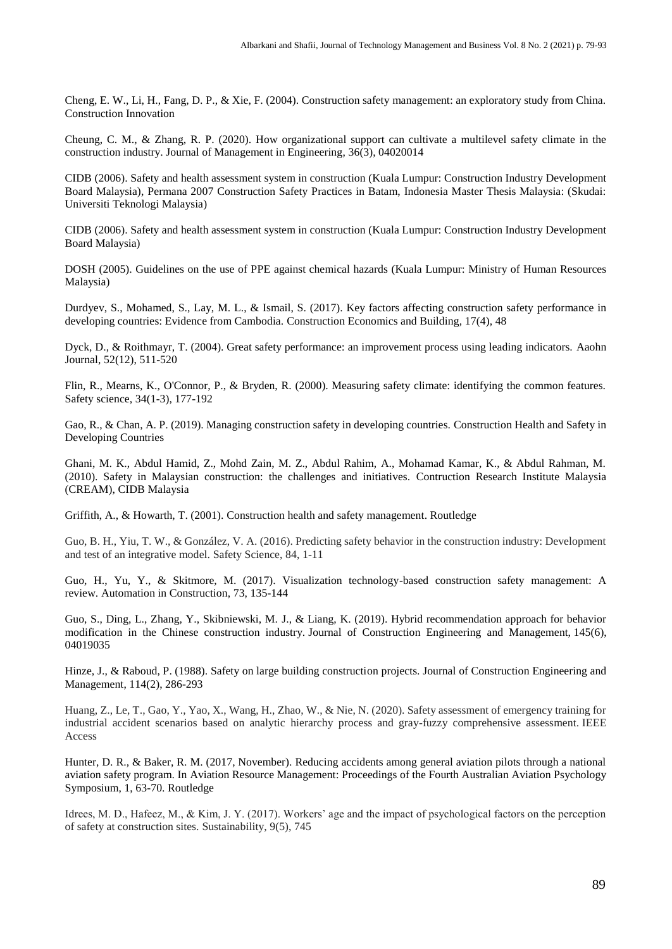Cheng, E. W., Li, H., Fang, D. P., & Xie, F. (2004). Construction safety management: an exploratory study from China. Construction Innovation

Cheung, C. M., & Zhang, R. P. (2020). How organizational support can cultivate a multilevel safety climate in the construction industry. Journal of Management in Engineering, 36(3), 04020014

CIDB (2006). Safety and health assessment system in construction (Kuala Lumpur: Construction Industry Development Board Malaysia), Permana 2007 Construction Safety Practices in Batam, Indonesia Master Thesis Malaysia: (Skudai: Universiti Teknologi Malaysia)

CIDB (2006). Safety and health assessment system in construction (Kuala Lumpur: Construction Industry Development Board Malaysia)

DOSH (2005). Guidelines on the use of PPE against chemical hazards (Kuala Lumpur: Ministry of Human Resources Malaysia)

Durdyev, S., Mohamed, S., Lay, M. L., & Ismail, S. (2017). Key factors affecting construction safety performance in developing countries: Evidence from Cambodia. Construction Economics and Building, 17(4), 48

Dyck, D., & Roithmayr, T. (2004). Great safety performance: an improvement process using leading indicators. Aaohn Journal, 52(12), 511-520

Flin, R., Mearns, K., O'Connor, P., & Bryden, R. (2000). Measuring safety climate: identifying the common features. Safety science, 34(1-3), 177-192

Gao, R., & Chan, A. P. (2019). Managing construction safety in developing countries. Construction Health and Safety in Developing Countries

Ghani, M. K., Abdul Hamid, Z., Mohd Zain, M. Z., Abdul Rahim, A., Mohamad Kamar, K., & Abdul Rahman, M. (2010). Safety in Malaysian construction: the challenges and initiatives. Contruction Research Institute Malaysia (CREAM), CIDB Malaysia

Griffith, A., & Howarth, T. (2001). Construction health and safety management. Routledge

Guo, B. H., Yiu, T. W., & González, V. A. (2016). Predicting safety behavior in the construction industry: Development and test of an integrative model. Safety Science, 84, 1-11

Guo, H., Yu, Y., & Skitmore, M. (2017). Visualization technology-based construction safety management: A review. Automation in Construction, 73, 135-144

Guo, S., Ding, L., Zhang, Y., Skibniewski, M. J., & Liang, K. (2019). Hybrid recommendation approach for behavior modification in the Chinese construction industry. Journal of Construction Engineering and Management, 145(6), 04019035

Hinze, J., & Raboud, P. (1988). Safety on large building construction projects. Journal of Construction Engineering and Management, 114(2), 286-293

Huang, Z., Le, T., Gao, Y., Yao, X., Wang, H., Zhao, W., & Nie, N. (2020). Safety assessment of emergency training for industrial accident scenarios based on analytic hierarchy process and gray-fuzzy comprehensive assessment. IEEE Access

Hunter, D. R., & Baker, R. M. (2017, November). Reducing accidents among general aviation pilots through a national aviation safety program. In Aviation Resource Management: Proceedings of the Fourth Australian Aviation Psychology Symposium, 1, 63-70. Routledge

Idrees, M. D., Hafeez, M., & Kim, J. Y. (2017). Workers' age and the impact of psychological factors on the perception of safety at construction sites. Sustainability, 9(5), 745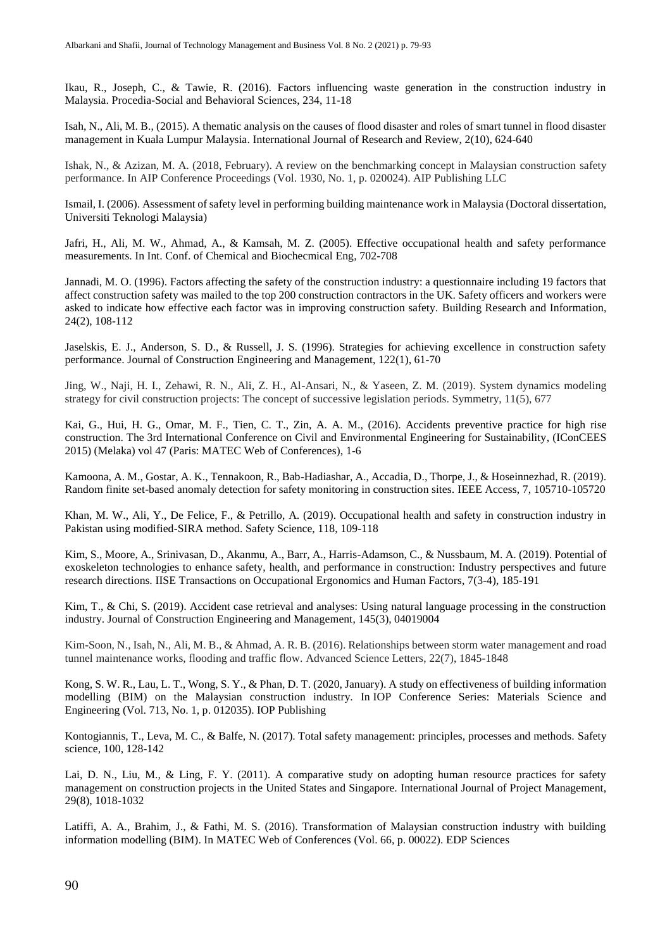Ikau, R., Joseph, C., & Tawie, R. (2016). Factors influencing waste generation in the construction industry in Malaysia. Procedia-Social and Behavioral Sciences, 234, 11-18

Isah, N., Ali, M. B., (2015). A thematic analysis on the causes of flood disaster and roles of smart tunnel in flood disaster management in Kuala Lumpur Malaysia. International Journal of Research and Review, 2(10), 624-640

Ishak, N., & Azizan, M. A. (2018, February). A review on the benchmarking concept in Malaysian construction safety performance. In AIP Conference Proceedings (Vol. 1930, No. 1, p. 020024). AIP Publishing LLC

Ismail, I. (2006). Assessment of safety level in performing building maintenance work in Malaysia (Doctoral dissertation, Universiti Teknologi Malaysia)

Jafri, H., Ali, M. W., Ahmad, A., & Kamsah, M. Z. (2005). Effective occupational health and safety performance measurements. In Int. Conf. of Chemical and Biochecmical Eng, 702-708

Jannadi, M. O. (1996). Factors affecting the safety of the construction industry: a questionnaire including 19 factors that affect construction safety was mailed to the top 200 construction contractors in the UK. Safety officers and workers were asked to indicate how effective each factor was in improving construction safety. Building Research and Information, 24(2), 108-112

Jaselskis, E. J., Anderson, S. D., & Russell, J. S. (1996). Strategies for achieving excellence in construction safety performance. Journal of Construction Engineering and Management, 122(1), 61-70

Jing, W., Naji, H. I., Zehawi, R. N., Ali, Z. H., Al-Ansari, N., & Yaseen, Z. M. (2019). System dynamics modeling strategy for civil construction projects: The concept of successive legislation periods. Symmetry, 11(5), 677

Kai, G., Hui, H. G., Omar, M. F., Tien, C. T., Zin, A. A. M., (2016). Accidents preventive practice for high rise construction. The 3rd International Conference on Civil and Environmental Engineering for Sustainability, (IConCEES 2015) (Melaka) vol 47 (Paris: MATEC Web of Conferences), 1-6

Kamoona, A. M., Gostar, A. K., Tennakoon, R., Bab-Hadiashar, A., Accadia, D., Thorpe, J., & Hoseinnezhad, R. (2019). Random finite set-based anomaly detection for safety monitoring in construction sites. IEEE Access, 7, 105710-105720

Khan, M. W., Ali, Y., De Felice, F., & Petrillo, A. (2019). Occupational health and safety in construction industry in Pakistan using modified-SIRA method. Safety Science, 118, 109-118

Kim, S., Moore, A., Srinivasan, D., Akanmu, A., Barr, A., Harris-Adamson, C., & Nussbaum, M. A. (2019). Potential of exoskeleton technologies to enhance safety, health, and performance in construction: Industry perspectives and future research directions. IISE Transactions on Occupational Ergonomics and Human Factors, 7(3-4), 185-191

Kim, T., & Chi, S. (2019). Accident case retrieval and analyses: Using natural language processing in the construction industry. Journal of Construction Engineering and Management, 145(3), 04019004

Kim-Soon, N., Isah, N., Ali, M. B., & Ahmad, A. R. B. (2016). Relationships between storm water management and road tunnel maintenance works, flooding and traffic flow. Advanced Science Letters, 22(7), 1845-1848

Kong, S. W. R., Lau, L. T., Wong, S. Y., & Phan, D. T. (2020, January). A study on effectiveness of building information modelling (BIM) on the Malaysian construction industry. In IOP Conference Series: Materials Science and Engineering (Vol. 713, No. 1, p. 012035). IOP Publishing

Kontogiannis, T., Leva, M. C., & Balfe, N. (2017). Total safety management: principles, processes and methods. Safety science, 100, 128-142

Lai, D. N., Liu, M., & Ling, F. Y. (2011). A comparative study on adopting human resource practices for safety management on construction projects in the United States and Singapore. International Journal of Project Management, 29(8), 1018-1032

Latiffi, A. A., Brahim, J., & Fathi, M. S. (2016). Transformation of Malaysian construction industry with building information modelling (BIM). In MATEC Web of Conferences (Vol. 66, p. 00022). EDP Sciences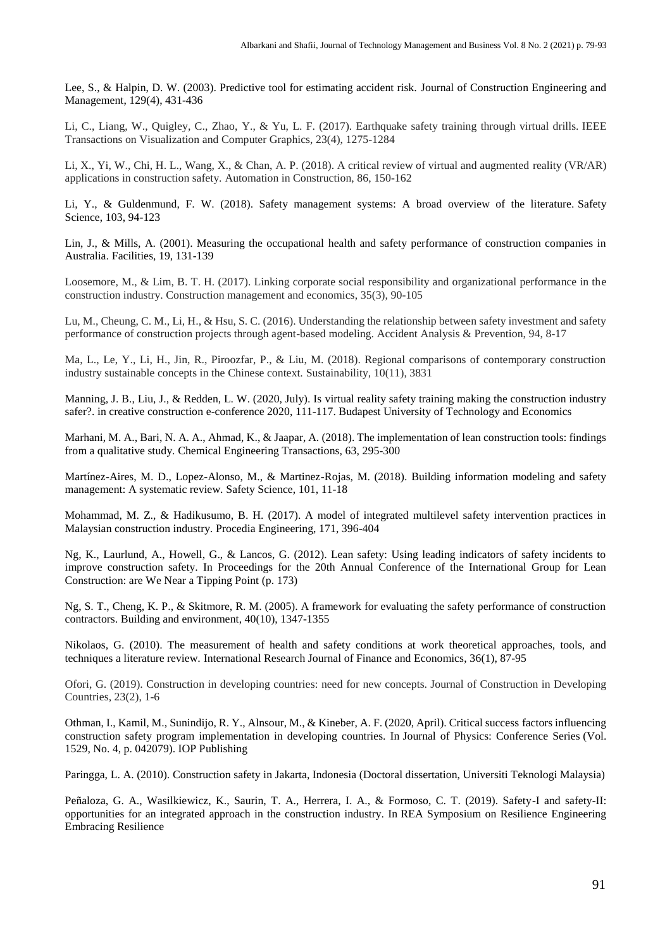Lee, S., & Halpin, D. W. (2003). Predictive tool for estimating accident risk. Journal of Construction Engineering and Management, 129(4), 431-436

Li, C., Liang, W., Quigley, C., Zhao, Y., & Yu, L. F. (2017). Earthquake safety training through virtual drills. IEEE Transactions on Visualization and Computer Graphics, 23(4), 1275-1284

Li, X., Yi, W., Chi, H. L., Wang, X., & Chan, A. P. (2018). A critical review of virtual and augmented reality (VR/AR) applications in construction safety. Automation in Construction, 86, 150-162

Li, Y., & Guldenmund, F. W. (2018). Safety management systems: A broad overview of the literature. Safety Science, 103, 94-123

Lin, J., & Mills, A. (2001). Measuring the occupational health and safety performance of construction companies in Australia. Facilities, 19, 131-139

Loosemore, M., & Lim, B. T. H. (2017). Linking corporate social responsibility and organizational performance in the construction industry. Construction management and economics, 35(3), 90-105

Lu, M., Cheung, C. M., Li, H., & Hsu, S. C. (2016). Understanding the relationship between safety investment and safety performance of construction projects through agent-based modeling. Accident Analysis & Prevention, 94, 8-17

Ma, L., Le, Y., Li, H., Jin, R., Piroozfar, P., & Liu, M. (2018). Regional comparisons of contemporary construction industry sustainable concepts in the Chinese context. Sustainability, 10(11), 3831

Manning, J. B., Liu, J., & Redden, L. W. (2020, July). Is virtual reality safety training making the construction industry safer?. in creative construction e-conference 2020, 111-117. Budapest University of Technology and Economics

Marhani, M. A., Bari, N. A. A., Ahmad, K., & Jaapar, A. (2018). The implementation of lean construction tools: findings from a qualitative study. Chemical Engineering Transactions, 63, 295-300

Martínez-Aires, M. D., Lopez-Alonso, M., & Martinez-Rojas, M. (2018). Building information modeling and safety management: A systematic review. Safety Science, 101, 11-18

Mohammad, M. Z., & Hadikusumo, B. H. (2017). A model of integrated multilevel safety intervention practices in Malaysian construction industry. Procedia Engineering, 171, 396-404

Ng, K., Laurlund, A., Howell, G., & Lancos, G. (2012). Lean safety: Using leading indicators of safety incidents to improve construction safety. In Proceedings for the 20th Annual Conference of the International Group for Lean Construction: are We Near a Tipping Point (p. 173)

Ng, S. T., Cheng, K. P., & Skitmore, R. M. (2005). A framework for evaluating the safety performance of construction contractors. Building and environment, 40(10), 1347-1355

Nikolaos, G. (2010). The measurement of health and safety conditions at work theoretical approaches, tools, and techniques a literature review. International Research Journal of Finance and Economics, 36(1), 87-95

Ofori, G. (2019). Construction in developing countries: need for new concepts. Journal of Construction in Developing Countries, 23(2), 1-6

Othman, I., Kamil, M., Sunindijo, R. Y., Alnsour, M., & Kineber, A. F. (2020, April). Critical success factors influencing construction safety program implementation in developing countries. In Journal of Physics: Conference Series (Vol. 1529, No. 4, p. 042079). IOP Publishing

Paringga, L. A. (2010). Construction safety in Jakarta, Indonesia (Doctoral dissertation, Universiti Teknologi Malaysia)

Peñaloza, G. A., Wasilkiewicz, K., Saurin, T. A., Herrera, I. A., & Formoso, C. T. (2019). Safety-I and safety-II: opportunities for an integrated approach in the construction industry. In REA Symposium on Resilience Engineering Embracing Resilience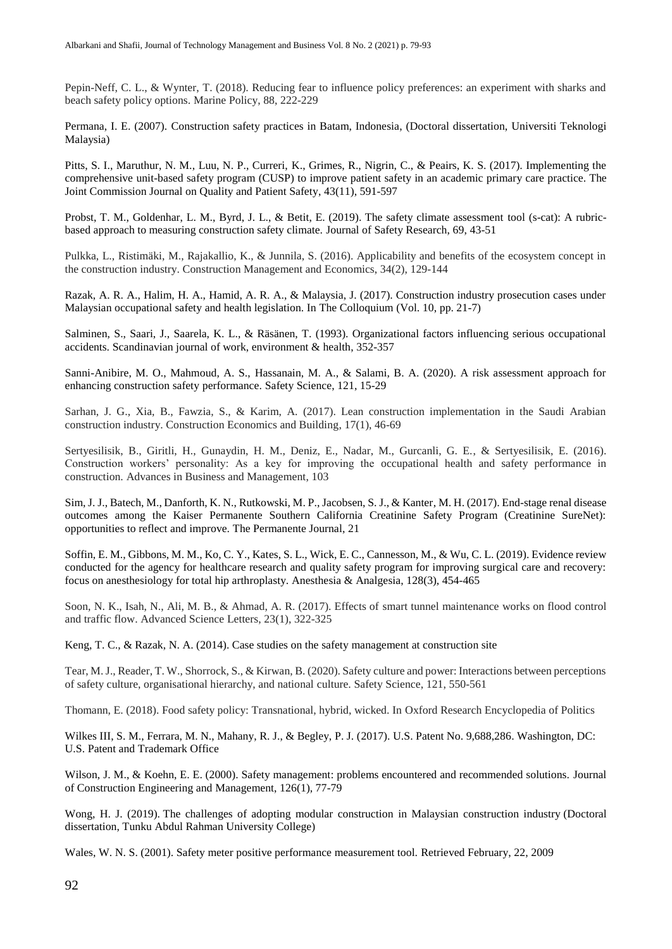Pepin-Neff, C. L., & Wynter, T. (2018). Reducing fear to influence policy preferences: an experiment with sharks and beach safety policy options. Marine Policy, 88, 222-229

Permana, I. E. (2007). Construction safety practices in Batam, Indonesia, (Doctoral dissertation, Universiti Teknologi Malaysia)

Pitts, S. I., Maruthur, N. M., Luu, N. P., Curreri, K., Grimes, R., Nigrin, C., & Peairs, K. S. (2017). Implementing the comprehensive unit-based safety program (CUSP) to improve patient safety in an academic primary care practice. The Joint Commission Journal on Quality and Patient Safety, 43(11), 591-597

Probst, T. M., Goldenhar, L. M., Byrd, J. L., & Betit, E. (2019). The safety climate assessment tool (s-cat): A rubricbased approach to measuring construction safety climate. Journal of Safety Research, 69, 43-51

Pulkka, L., Ristimäki, M., Rajakallio, K., & Junnila, S. (2016). Applicability and benefits of the ecosystem concept in the construction industry. Construction Management and Economics, 34(2), 129-144

Razak, A. R. A., Halim, H. A., Hamid, A. R. A., & Malaysia, J. (2017). Construction industry prosecution cases under Malaysian occupational safety and health legislation. In The Colloquium (Vol. 10, pp. 21-7)

Salminen, S., Saari, J., Saarela, K. L., & Räsänen, T. (1993). Organizational factors influencing serious occupational accidents. Scandinavian journal of work, environment & health, 352-357

Sanni-Anibire, M. O., Mahmoud, A. S., Hassanain, M. A., & Salami, B. A. (2020). A risk assessment approach for enhancing construction safety performance. Safety Science, 121, 15-29

Sarhan, J. G., Xia, B., Fawzia, S., & Karim, A. (2017). Lean construction implementation in the Saudi Arabian construction industry. Construction Economics and Building, 17(1), 46-69

Sertyesilisik, B., Giritli, H., Gunaydin, H. M., Deniz, E., Nadar, M., Gurcanli, G. E., & Sertyesilisik, E. (2016). Construction workers' personality: As a key for improving the occupational health and safety performance in construction. Advances in Business and Management, 103

Sim, J. J., Batech, M., Danforth, K. N., Rutkowski, M. P., Jacobsen, S. J., & Kanter, M. H. (2017). End-stage renal disease outcomes among the Kaiser Permanente Southern California Creatinine Safety Program (Creatinine SureNet): opportunities to reflect and improve. The Permanente Journal, 21

Soffin, E. M., Gibbons, M. M., Ko, C. Y., Kates, S. L., Wick, E. C., Cannesson, M., & Wu, C. L. (2019). Evidence review conducted for the agency for healthcare research and quality safety program for improving surgical care and recovery: focus on anesthesiology for total hip arthroplasty. Anesthesia & Analgesia, 128(3), 454-465

Soon, N. K., Isah, N., Ali, M. B., & Ahmad, A. R. (2017). Effects of smart tunnel maintenance works on flood control and traffic flow. Advanced Science Letters, 23(1), 322-325

Keng, T. C., & Razak, N. A. (2014). Case studies on the safety management at construction site

Tear, M. J., Reader, T. W., Shorrock, S., & Kirwan, B. (2020). Safety culture and power: Interactions between perceptions of safety culture, organisational hierarchy, and national culture. Safety Science, 121, 550-561

Thomann, E. (2018). Food safety policy: Transnational, hybrid, wicked. In Oxford Research Encyclopedia of Politics

Wilkes III, S. M., Ferrara, M. N., Mahany, R. J., & Begley, P. J. (2017). U.S. Patent No. 9,688,286. Washington, DC: U.S. Patent and Trademark Office

Wilson, J. M., & Koehn, E. E. (2000). Safety management: problems encountered and recommended solutions. Journal of Construction Engineering and Management, 126(1), 77-79

Wong, H. J. (2019). The challenges of adopting modular construction in Malaysian construction industry (Doctoral dissertation, Tunku Abdul Rahman University College)

Wales, W. N. S. (2001). Safety meter positive performance measurement tool. Retrieved February, 22, 2009